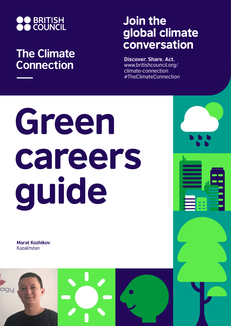

## **The Climate Connection**

## Join the global climate conversation

**Discover. Share. Act.** www.britishcouncil.org/ climate-connection #TheClimateConnection

# Green careers guide

**Marat Kozhikov** Kazakhstan